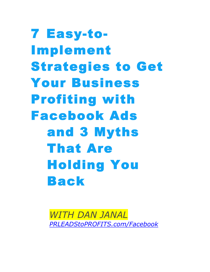7 Easy-to-Implement Strategies to Get Your Business Profiting with Facebook Ads and 3 Myths That Are Holding You Back

> *WITH DAN JANAL PRLEADStoPROFITS.com/Facebook*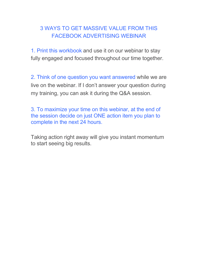## 3 WAYS TO GET MASSIVE VALUE FROM THIS FACEBOOK ADVERTISING WEBINAR

1. Print this workbook and use it on our webinar to stay fully engaged and focused throughout our time together.

2. Think of one question you want answered while we are live on the webinar. If I don't answer your question during my training, you can ask it during the Q&A session.

3. To maximize your time on this webinar, at the end of the session decide on just ONE action item you plan to complete in the next 24 hours.

Taking action right away will give you instant momentum to start seeing big results.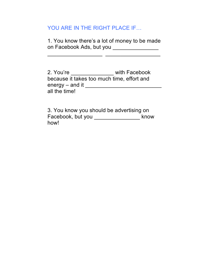## YOU ARE IN THE RIGHT PLACE IF...

1. You know there's a lot of money to be made on Facebook Ads, but you \_\_\_\_\_\_\_\_\_\_\_\_\_\_\_\_\_

\_\_\_\_\_\_\_\_\_\_\_\_\_\_\_\_\_\_ \_\_\_\_\_\_\_\_\_\_\_\_\_\_\_\_\_\_

2. You're \_\_\_\_\_\_\_\_\_\_\_\_\_\_ with Facebook because it takes too much time, effort and energy – and it \_\_\_\_\_\_\_\_\_\_\_\_\_\_\_\_\_\_\_\_\_\_\_\_\_ all the time!

3. You know you should be advertising on Facebook, but you \_\_\_\_\_\_\_\_\_\_\_\_\_\_\_ know how!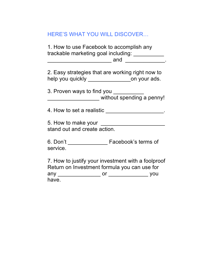| HERE'S WHAT YOU WILL DISCOVER |  |
|-------------------------------|--|
|-------------------------------|--|

1. How to use Facebook to accomplish any trackable marketing goal including: \_\_\_\_\_\_\_\_\_\_\_ \_\_\_\_\_\_\_\_\_\_\_\_\_\_\_\_\_\_\_\_\_ and \_\_\_\_\_\_\_\_\_\_\_\_\_.

2. Easy strategies that are working right now to help you quickly \_\_\_\_\_\_\_\_\_\_\_\_\_\_\_\_\_\_on your ads.

3. Proven ways to find you \_\_\_\_\_\_\_\_\_\_ \_\_\_\_\_\_\_\_\_\_\_\_\_\_\_\_\_ without spending a penny!

4. How to set a realistic **All and Set a realistic**  $\cdot$ 

5. How to make your \_\_\_\_\_\_\_\_\_\_\_\_\_\_\_\_\_\_\_\_\_ stand out and create action.

6. Don't \_\_\_\_\_\_\_\_\_\_\_\_\_ Facebook's terms of service.

7. How to justify your investment with a foolproof Return on Investment formula you can use for any \_\_\_\_\_\_\_\_\_\_\_\_\_\_ or \_\_\_\_\_\_\_\_\_\_\_\_\_ you have.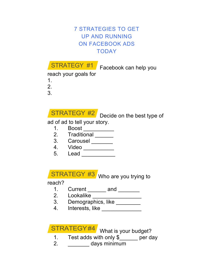## 7 STRATEGIES TO GET UP AND RUNNING ON FACEBOOK ADS **TODAY**



Facebook can help you

reach your goals for

- 1. 2.
- 3.

 $\begin{array}{|c|c|c|}\n\hline\n\text{STRATEGY & \#2} & \text{Decide on the best type of}\n\hline\n\end{array}$ 

ad of ad to tell your story.

- 1. Boost \_\_\_\_\_\_\_\_\_\_
- 2. Traditional \_\_\_\_\_\_\_
- 3. Carousel \_\_\_\_\_\_\_\_
- 4. Video \_\_\_\_\_\_\_\_\_\_
- 5. Lead \_\_\_\_\_\_\_\_\_\_\_

### Who are you trying to STRATEGY #3

reach?

- 1. Current \_\_\_\_\_\_ and \_\_\_\_\_\_
- 2. Lookalike \_\_\_\_\_\_\_\_\_\_\_\_\_\_\_\_
- 3. Demographics, like \_\_\_\_\_\_\_\_
- 4. Interests, like \_\_\_\_\_\_\_\_\_\_\_\_\_

STRATEGY#4 What is your budget?

- 1. Test adds with only \$\_\_\_\_\_\_ per day
- 2. \_\_\_\_\_\_\_ days minimum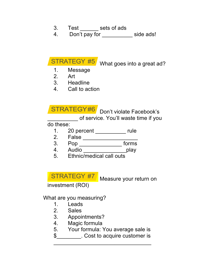- 3. Test sets of ads
- 4. Don't pay for \_\_\_\_\_\_\_\_\_\_\_ side ads!

STRATEGY #5

What goes into a great ad?

- 1. Message
- 2. Art
- 3. Headline
- 4. Call to action

Don't violate Facebook's STRATEGY#6

\_\_\_\_\_\_\_\_\_\_ of service. You'll waste time if you

do these:

- 1. 20 percent \_\_\_\_\_\_\_\_\_\_ rule
- 2. False \_\_\_\_\_\_\_\_\_\_\_\_\_\_\_\_\_\_
- 3. Pop \_\_\_\_\_\_\_\_\_\_\_\_\_\_ forms
- 4. Audio \_\_\_\_\_\_\_\_\_\_\_\_\_\_\_\_\_\_\_\_\_\_play
- 5. Ethnic/medical call outs

STRATEGY #7 Measure your return on

investment (ROI)

What are you measuring?

- 1. Leads
- 2. Sales
- 3. Appointments?
- 4. Magic formula
- 5. Your formula: You average sale is
- \$\_\_\_\_\_\_\_\_. Cost to acquire customer is \_\_\_\_\_\_\_\_\_\_\_\_\_\_\_\_\_\_\_\_\_\_\_\_\_\_\_\_\_\_\_\_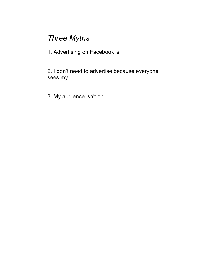## *Three Myths*

1. Advertising on Facebook is \_\_\_\_\_\_\_\_\_\_\_\_\_

2. I don't need to advertise because everyone sees my \_\_\_\_\_\_\_\_\_\_\_\_\_\_\_\_\_\_\_\_\_\_\_\_\_\_\_\_\_\_

3. My audience isn't on \_\_\_\_\_\_\_\_\_\_\_\_\_\_\_\_\_\_\_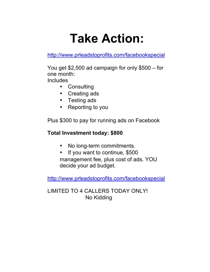# **Take Action:**

http://www.prleadstoprofits.com/facebookspecial

You get \$2,500 ad campaign for only \$500 – for one month:

**Includes** 

- Consulting
- Creating ads
- Testing ads
- Reporting to you

Plus \$300 to pay for running ads on Facebook

## **Total Investment today: \$800**

- No long-term commitments.
- If you want to continue, \$500 management fee, plus cost of ads. YOU decide your ad budget.

http://www.prleadstoprofits.com/facebookspecial

LIMITED TO 4 CALLERS TODAY ONLY! No Kidding